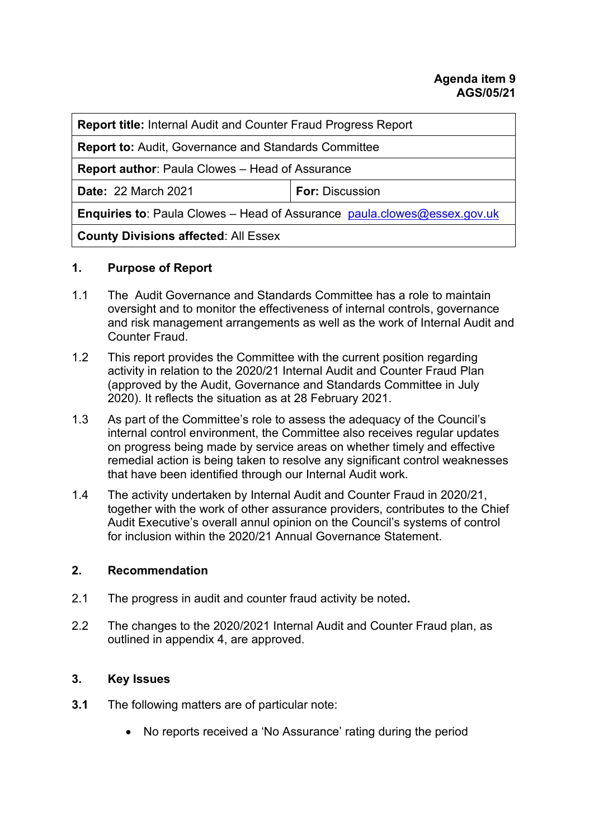| <b>Report title:</b> Internal Audit and Counter Fraud Progress Report              |                        |  |
|------------------------------------------------------------------------------------|------------------------|--|
| <b>Report to:</b> Audit, Governance and Standards Committee                        |                        |  |
| <b>Report author: Paula Clowes - Head of Assurance</b>                             |                        |  |
| <b>Date: 22 March 2021</b>                                                         | <b>For: Discussion</b> |  |
| <b>Enquiries to:</b> Paula Clowes – Head of Assurance $paula$ .clowes@essex.gov.uk |                        |  |
| <b>County Divisions affected: All Essex</b>                                        |                        |  |

#### **1. Purpose of Report**

- 1.1 The Audit Governance and Standards Committee has a role to maintain oversight and to monitor the effectiveness of internal controls, governance and risk management arrangements as well as the work of Internal Audit and Counter Fraud.
- 1.2 This report provides the Committee with the current position regarding activity in relation to the 2020/21 Internal Audit and Counter Fraud Plan (approved by the Audit, Governance and Standards Committee in July 2020). It reflects the situation as at 28 February 2021.
- 1.3 As part of the Committee's role to assess the adequacy of the Council's internal control environment, the Committee also receives regular updates on progress being made by service areas on whether timely and effective remedial action is being taken to resolve any significant control weaknesses that have been identified through our Internal Audit work.
- 1.4 The activity undertaken by Internal Audit and Counter Fraud in 2020/21, together with the work of other assurance providers, contributes to the Chief Audit Executive's overall annul opinion on the Council's systems of control for inclusion within the 2020/21 Annual Governance Statement.

#### **2. Recommendation**

- 2.1 The progress in audit and counter fraud activity be noted**.**
- 2.2 The changes to the 2020/2021 Internal Audit and Counter Fraud plan, as outlined in appendix 4, are approved.

## **3. Key Issues**

- **3.1** The following matters are of particular note:
	- No reports received a 'No Assurance' rating during the period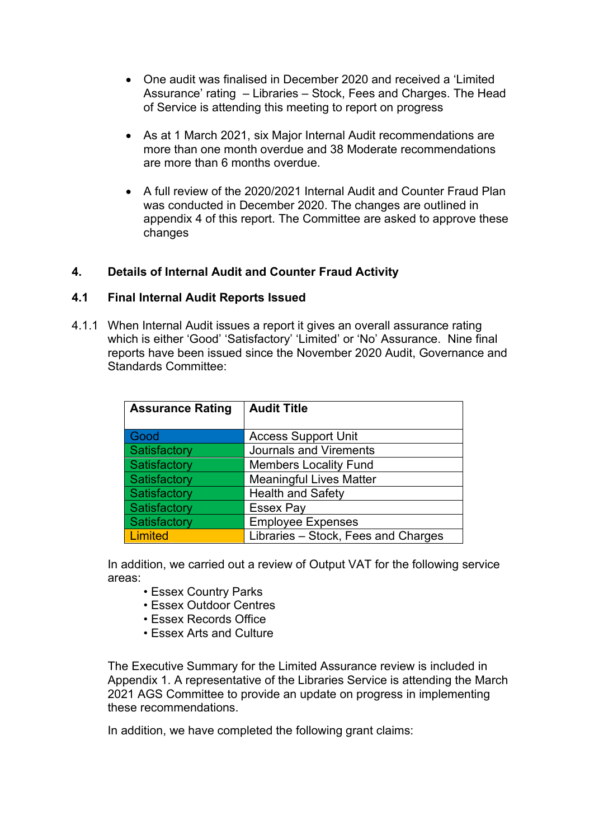- One audit was finalised in December 2020 and received a 'Limited Assurance' rating – Libraries – Stock, Fees and Charges. The Head of Service is attending this meeting to report on progress
- As at 1 March 2021, six Major Internal Audit recommendations are more than one month overdue and 38 Moderate recommendations are more than 6 months overdue.
- A full review of the 2020/2021 Internal Audit and Counter Fraud Plan was conducted in December 2020. The changes are outlined in appendix 4 of this report. The Committee are asked to approve these changes

#### **4. Details of Internal Audit and Counter Fraud Activity**

#### **4.1 Final Internal Audit Reports Issued**

4.1.1 When Internal Audit issues a report it gives an overall assurance rating which is either 'Good' 'Satisfactory' 'Limited' or 'No' Assurance. Nine final reports have been issued since the November 2020 Audit, Governance and Standards Committee:

| <b>Assurance Rating</b> | <b>Audit Title</b>                  |
|-------------------------|-------------------------------------|
| Good                    | <b>Access Support Unit</b>          |
| Satisfactory            | <b>Journals and Virements</b>       |
| Satisfactory            | <b>Members Locality Fund</b>        |
| Satisfactory            | <b>Meaningful Lives Matter</b>      |
| Satisfactory            | <b>Health and Safety</b>            |
| Satisfactory            | <b>Essex Pay</b>                    |
| Satisfactory            | <b>Employee Expenses</b>            |
| Limited                 | Libraries - Stock, Fees and Charges |

 In addition, we carried out a review of Output VAT for the following service areas:

- Essex Country Parks
- Essex Outdoor Centres
- Essex Records Office
- Essex Arts and Culture

The Executive Summary for the Limited Assurance review is included in Appendix 1. A representative of the Libraries Service is attending the March 2021 AGS Committee to provide an update on progress in implementing these recommendations.

In addition, we have completed the following grant claims: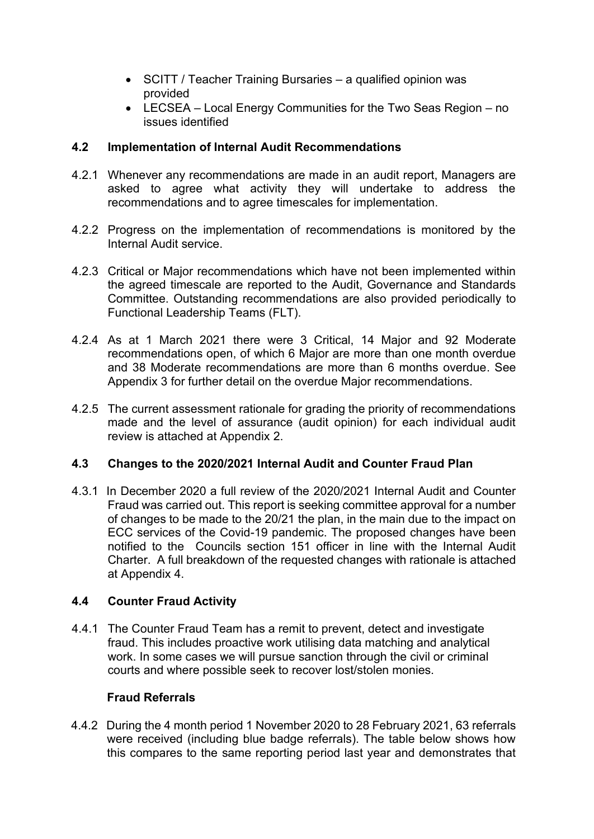- SCITT / Teacher Training Bursaries a qualified opinion was provided
- LECSEA Local Energy Communities for the Two Seas Region no issues identified

### **4.2 Implementation of Internal Audit Recommendations**

- 4.2.1 Whenever any recommendations are made in an audit report, Managers are asked to agree what activity they will undertake to address the recommendations and to agree timescales for implementation.
- 4.2.2 Progress on the implementation of recommendations is monitored by the Internal Audit service.
- 4.2.3 Critical or Major recommendations which have not been implemented within the agreed timescale are reported to the Audit, Governance and Standards Committee. Outstanding recommendations are also provided periodically to Functional Leadership Teams (FLT).
- 4.2.4 As at 1 March 2021 there were 3 Critical, 14 Major and 92 Moderate recommendations open, of which 6 Major are more than one month overdue and 38 Moderate recommendations are more than 6 months overdue. See Appendix 3 for further detail on the overdue Major recommendations.
- 4.2.5 The current assessment rationale for grading the priority of recommendations made and the level of assurance (audit opinion) for each individual audit review is attached at Appendix 2.

#### **4.3 Changes to the 2020/2021 Internal Audit and Counter Fraud Plan**

4.3.1In December 2020 a full review of the 2020/2021 Internal Audit and Counter Fraud was carried out. This report is seeking committee approval for a number of changes to be made to the 20/21 the plan, in the main due to the impact on ECC services of the Covid-19 pandemic. The proposed changes have been notified to the Councils section 151 officer in line with the Internal Audit Charter. A full breakdown of the requested changes with rationale is attached at Appendix 4.

## **4.4 Counter Fraud Activity**

4.4.1 The Counter Fraud Team has a remit to prevent, detect and investigate fraud. This includes proactive work utilising data matching and analytical work. In some cases we will pursue sanction through the civil or criminal courts and where possible seek to recover lost/stolen monies.

#### **Fraud Referrals**

4.4.2 During the 4 month period 1 November 2020 to 28 February 2021, 63 referrals were received (including blue badge referrals). The table below shows how this compares to the same reporting period last year and demonstrates that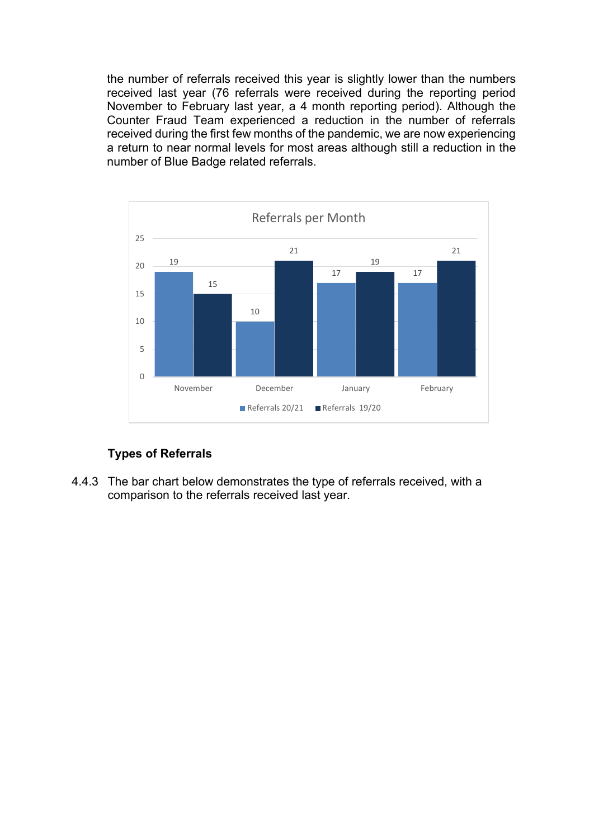the number of referrals received this year is slightly lower than the numbers received last year (76 referrals were received during the reporting period November to February last year, a 4 month reporting period). Although the Counter Fraud Team experienced a reduction in the number of referrals received during the first few months of the pandemic, we are now experiencing a return to near normal levels for most areas although still a reduction in the number of Blue Badge related referrals.



## **Types of Referrals**

4.4.3 The bar chart below demonstrates the type of referrals received, with a comparison to the referrals received last year.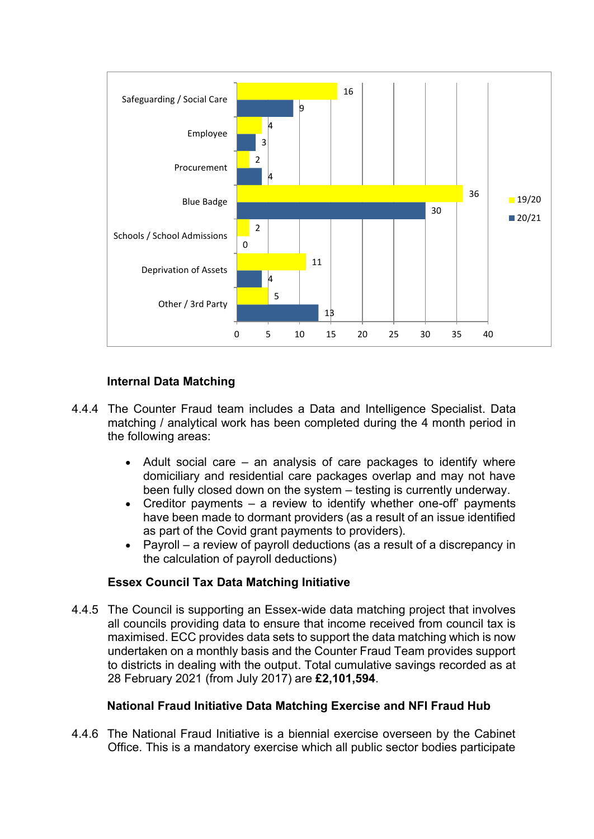

### **Internal Data Matching**

- 4.4.4 The Counter Fraud team includes a Data and Intelligence Specialist. Data matching / analytical work has been completed during the 4 month period in the following areas:
	- Adult social care an analysis of care packages to identify where domiciliary and residential care packages overlap and may not have been fully closed down on the system – testing is currently underway.
	- Creditor payments  $-$  a review to identify whether one-off' payments have been made to dormant providers (as a result of an issue identified as part of the Covid grant payments to providers).
	- Payroll a review of payroll deductions (as a result of a discrepancy in the calculation of payroll deductions)

#### **Essex Council Tax Data Matching Initiative**

4.4.5 The Council is supporting an Essex-wide data matching project that involves all councils providing data to ensure that income received from council tax is maximised. ECC provides data sets to support the data matching which is now undertaken on a monthly basis and the Counter Fraud Team provides support to districts in dealing with the output. Total cumulative savings recorded as at 28 February 2021 (from July 2017) are **£2,101,594**.

#### **National Fraud Initiative Data Matching Exercise and NFI Fraud Hub**

4.4.6 The National Fraud Initiative is a biennial exercise overseen by the Cabinet Office. This is a mandatory exercise which all public sector bodies participate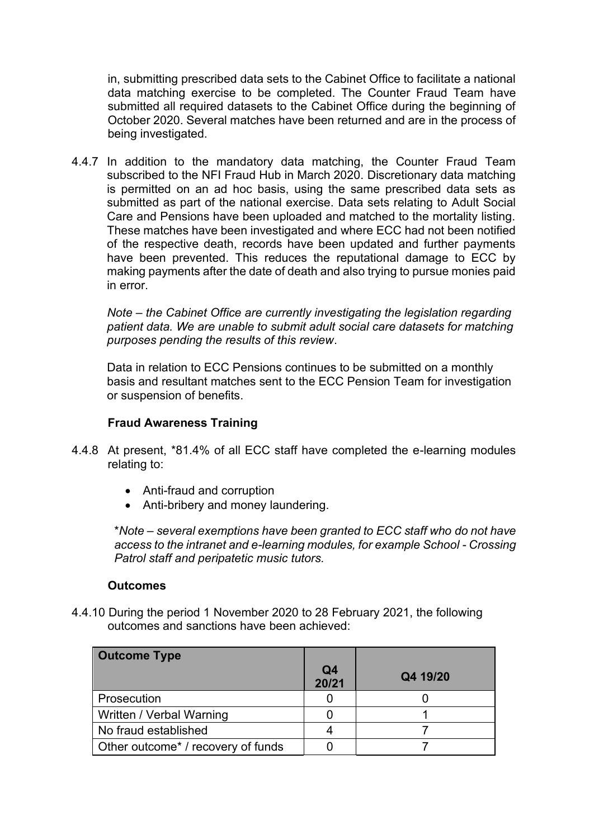in, submitting prescribed data sets to the Cabinet Office to facilitate a national data matching exercise to be completed. The Counter Fraud Team have submitted all required datasets to the Cabinet Office during the beginning of October 2020. Several matches have been returned and are in the process of being investigated.

4.4.7 In addition to the mandatory data matching, the Counter Fraud Team subscribed to the NFI Fraud Hub in March 2020. Discretionary data matching is permitted on an ad hoc basis, using the same prescribed data sets as submitted as part of the national exercise. Data sets relating to Adult Social Care and Pensions have been uploaded and matched to the mortality listing. These matches have been investigated and where ECC had not been notified of the respective death, records have been updated and further payments have been prevented. This reduces the reputational damage to ECC by making payments after the date of death and also trying to pursue monies paid in error.

*Note – the Cabinet Office are currently investigating the legislation regarding patient data. We are unable to submit adult social care datasets for matching purposes pending the results of this review*.

Data in relation to ECC Pensions continues to be submitted on a monthly basis and resultant matches sent to the ECC Pension Team for investigation or suspension of benefits.

#### **Fraud Awareness Training**

- 4.4.8 At present, \*81.4% of all ECC staff have completed the e-learning modules relating to:
	- Anti-fraud and corruption
	- Anti-bribery and money laundering.

\**Note – several exemptions have been granted to ECC staff who do not have access to the intranet and e-learning modules, for example School - Crossing Patrol staff and peripatetic music tutors.*

#### **Outcomes**

4.4.10 During the period 1 November 2020 to 28 February 2021, the following outcomes and sanctions have been achieved:

| <b>Outcome Type</b>                |             |          |
|------------------------------------|-------------|----------|
|                                    | Q4<br>20/21 | Q4 19/20 |
| Prosecution                        |             |          |
| Written / Verbal Warning           |             |          |
| No fraud established               |             |          |
| Other outcome* / recovery of funds |             |          |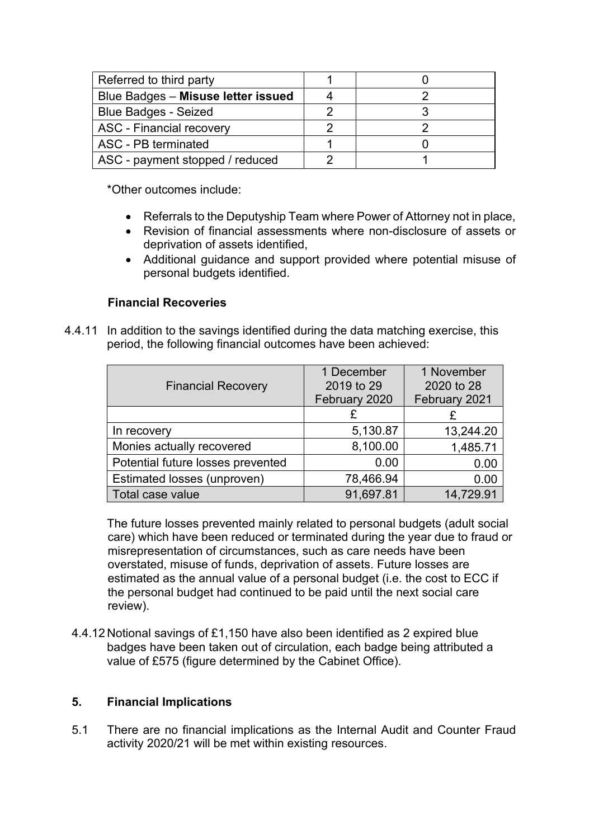| Referred to third party                   |  |
|-------------------------------------------|--|
| <b>Blue Badges - Misuse letter issued</b> |  |
| <b>Blue Badges - Seized</b>               |  |
| <b>ASC - Financial recovery</b>           |  |
| ASC - PB terminated                       |  |
| ASC - payment stopped / reduced           |  |

\*Other outcomes include:

- Referrals to the Deputyship Team where Power of Attorney not in place,
- Revision of financial assessments where non-disclosure of assets or deprivation of assets identified,
- Additional guidance and support provided where potential misuse of personal budgets identified.

#### **Financial Recoveries**

4.4.11 In addition to the savings identified during the data matching exercise, this period, the following financial outcomes have been achieved:

| <b>Financial Recovery</b>         | 1 December<br>2019 to 29<br>February 2020 | 1 November<br>2020 to 28<br>February 2021 |
|-----------------------------------|-------------------------------------------|-------------------------------------------|
|                                   | £                                         |                                           |
| In recovery                       | 5,130.87                                  | 13,244.20                                 |
| Monies actually recovered         | 8,100.00                                  | 1,485.71                                  |
| Potential future losses prevented | 0.00                                      | 0.00                                      |
| Estimated losses (unproven)       | 78,466.94                                 | 0.00                                      |
| Total case value                  | 91,697.81                                 | 14,729.91                                 |

The future losses prevented mainly related to personal budgets (adult social care) which have been reduced or terminated during the year due to fraud or misrepresentation of circumstances, such as care needs have been overstated, misuse of funds, deprivation of assets. Future losses are estimated as the annual value of a personal budget (i.e. the cost to ECC if the personal budget had continued to be paid until the next social care review).

4.4.12 Notional savings of £1,150 have also been identified as 2 expired blue badges have been taken out of circulation, each badge being attributed a value of £575 (figure determined by the Cabinet Office).

#### **5. Financial Implications**

5.1 There are no financial implications as the Internal Audit and Counter Fraud activity 2020/21 will be met within existing resources.